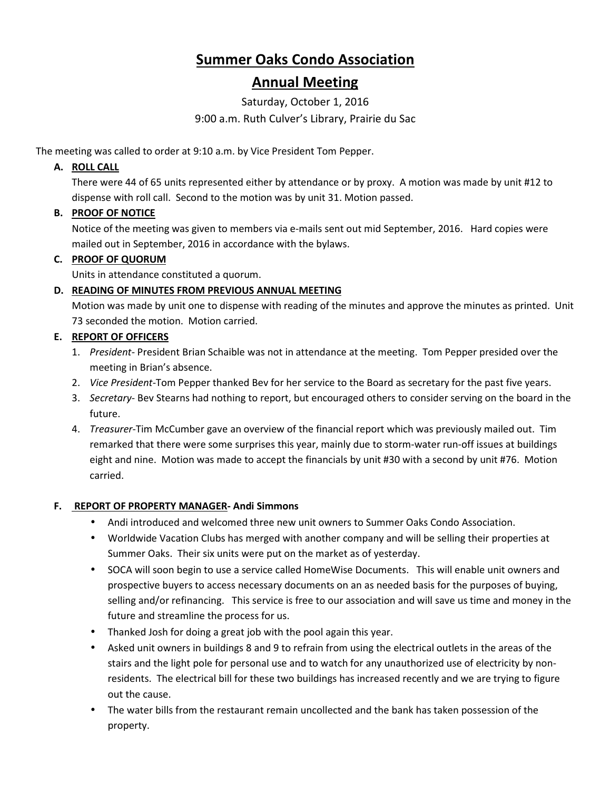# **Summer Oaks Condo Association**

# **Annual Meeting**

Saturday, October 1, 2016

9:00 a.m. Ruth Culver's Library, Prairie du Sac

The meeting was called to order at 9:10 a.m. by Vice President Tom Pepper.

# **A. ROLL CALL**

There were 44 of 65 units represented either by attendance or by proxy. A motion was made by unit #12 to dispense with roll call. Second to the motion was by unit 31. Motion passed.

# **B. PROOF OF NOTICE**

Notice of the meeting was given to members via e-mails sent out mid September, 2016. Hard copies were mailed out in September, 2016 in accordance with the bylaws.

#### **C. PROOF OF QUORUM**

Units in attendance constituted a quorum.

# **D. READING OF MINUTES FROM PREVIOUS ANNUAL MEETING**

Motion was made by unit one to dispense with reading of the minutes and approve the minutes as printed. Unit 73 seconded the motion. Motion carried.

#### **E. REPORT OF OFFICERS**

- 1. *President* President Brian Schaible was not in attendance at the meeting. Tom Pepper presided over the meeting in Brian's absence.
- 2. *Vice President*-Tom Pepper thanked Bev for her service to the Board as secretary for the past five years.
- 3. *Secretary* Bev Stearns had nothing to report, but encouraged others to consider serving on the board in the future.
- 4. *Treasurer*-Tim McCumber gave an overview of the financial report which was previously mailed out. Tim remarked that there were some surprises this year, mainly due to storm-water run-off issues at buildings eight and nine. Motion was made to accept the financials by unit #30 with a second by unit #76. Motion carried.

# **F. REPORT OF PROPERTY MANAGER- Andi Simmons**

- Andi introduced and welcomed three new unit owners to Summer Oaks Condo Association.
- Worldwide Vacation Clubs has merged with another company and will be selling their properties at Summer Oaks. Their six units were put on the market as of yesterday.
- SOCA will soon begin to use a service called HomeWise Documents. This will enable unit owners and prospective buyers to access necessary documents on an as needed basis for the purposes of buying, selling and/or refinancing. This service is free to our association and will save us time and money in the future and streamline the process for us.
- Thanked Josh for doing a great job with the pool again this year.
- Asked unit owners in buildings 8 and 9 to refrain from using the electrical outlets in the areas of the stairs and the light pole for personal use and to watch for any unauthorized use of electricity by nonresidents. The electrical bill for these two buildings has increased recently and we are trying to figure out the cause.
- The water bills from the restaurant remain uncollected and the bank has taken possession of the property.